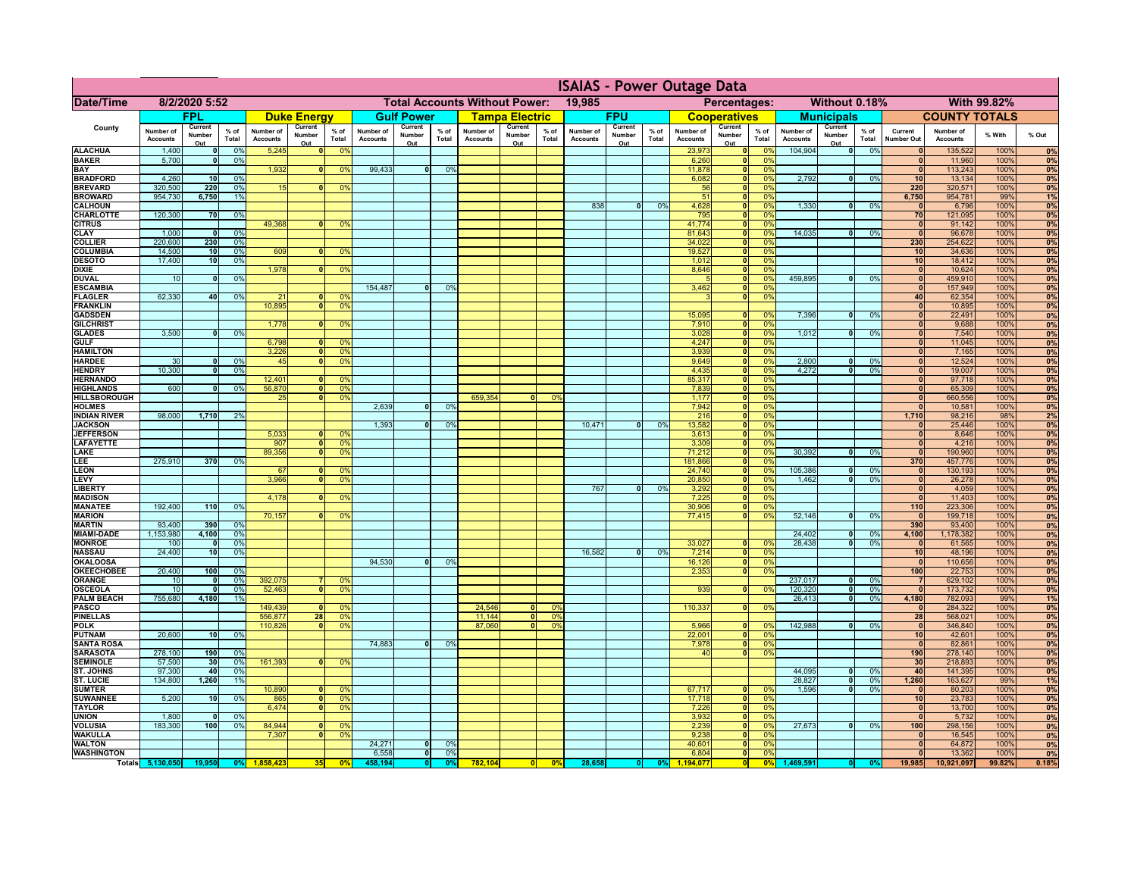|                                         | <b>ISAIAS - Power Outage Data</b> |                                 |                      |                          |                                 |                                                |                  |                                 |              |                 |                                 |                                                            |                 |                                 |                |                           |                                 |                                  |                            |                                           |                                 |                            |                |                                      |
|-----------------------------------------|-----------------------------------|---------------------------------|----------------------|--------------------------|---------------------------------|------------------------------------------------|------------------|---------------------------------|--------------|-----------------|---------------------------------|------------------------------------------------------------|-----------------|---------------------------------|----------------|---------------------------|---------------------------------|----------------------------------|----------------------------|-------------------------------------------|---------------------------------|----------------------------|----------------|--------------------------------------|
| Date/Time                               | 8/2/2020 5:52                     |                                 |                      |                          |                                 | <b>Total Accounts Without Power:</b><br>19,985 |                  |                                 |              |                 |                                 | <b>With 99.82%</b><br>Without 0.18%<br><b>Percentages:</b> |                 |                                 |                |                           |                                 |                                  |                            |                                           |                                 |                            |                |                                      |
|                                         |                                   | <b>FPL</b>                      |                      |                          | <b>Duke Energy</b>              |                                                |                  | <b>Gulf Power</b>               |              |                 | <b>Tampa Electric</b>           |                                                            |                 | <b>FPU</b>                      |                |                           | <b>Cooperatives</b>             |                                  |                            | <b>Municipals</b>                         |                                 | <b>COUNTY TOTALS</b>       |                |                                      |
| <b>County</b>                           | <b>Number of</b>                  | <b>Current</b><br><b>Number</b> | % of                 | Number of                | <b>Current</b><br><b>Number</b> | $%$ of                                         | Number of        | <b>Current</b><br><b>Number</b> | $%$ of       | Number of       | <b>Current</b><br><b>Number</b> | $%$ of                                                     | Number of       | <b>Current</b><br><b>Number</b> | $%$ of         | Number of                 | <b>Current</b><br><b>Number</b> | $%$ of                           | <b>Number of</b>           | <b>Current</b><br>$%$ of<br><b>Number</b> | <b>Current</b>                  | Number of                  | % With         | % Out                                |
| <b>ALACHUA</b>                          | <b>Accounts</b><br>1,400          | Out                             | <b>Total</b><br>0%   | <b>Accounts</b><br>5,245 | Out                             | <b>Total</b><br>0 <sup>9</sup>                 | <b>Accounts</b>  | Out                             | <b>Total</b> | <b>Accounts</b> | Out                             | <b>Total</b>                                               | <b>Accounts</b> | Out                             | <b>Total</b>   | <b>Accounts</b><br>23,973 | Out                             | <b>Total</b><br>0 <sup>9</sup>   | <b>Accounts</b><br>104,904 | <b>Total</b><br>Out<br>0%                 | <b>Number Out</b><br>$\Omega$   | <b>Accounts</b><br>135,522 | 100%           | 0%                                   |
| <b>BAKER</b>                            | 5,700                             |                                 | 0%                   |                          |                                 |                                                |                  |                                 |              |                 |                                 |                                                            |                 |                                 |                | 6,260                     |                                 | 0 <sup>9</sup>                   |                            |                                           | $\mathbf{0}$                    | 11,960                     | 100%           | $\overline{0\%}$                     |
| <b>BAY</b><br><b>BRADFORD</b>           | 4,260                             | 10                              | 0%                   | 1,932                    |                                 | 0 <sup>9</sup>                                 | 99,433           |                                 | 0%           |                 |                                 |                                                            |                 |                                 |                | 11,878<br>6,082           |                                 | 0%<br>0%                         | 2,792                      | 0%                                        | $\mathbf{0}$<br>10 <sup>1</sup> | 113,243<br>13,134          | 100%<br>100%   | $\overline{0\%}$<br>$\overline{0\%}$ |
| <b>BREVARD</b>                          | 320,500                           | 220                             | 0%                   | 15                       |                                 | 0 <sup>9</sup>                                 |                  |                                 |              |                 |                                 |                                                            |                 |                                 |                | 56                        |                                 | 0%                               |                            |                                           | 220                             | 320,571                    | 100%           | 0%                                   |
| <b>BROWARD</b>                          | 954,730                           | 6,750                           | 1%                   |                          |                                 |                                                |                  |                                 |              |                 |                                 |                                                            |                 |                                 |                | 51                        |                                 | 0%                               |                            |                                           | 6,750                           | 954,781                    | 99%            | 1%                                   |
| <b>CALHOUN</b><br><b>CHARLOTTE</b>      | 120,300                           | 70                              | 0%                   |                          |                                 |                                                |                  |                                 |              |                 |                                 |                                                            | 838             |                                 | 0 <sup>9</sup> | 4,628<br>795              |                                 | 0 <sup>9</sup><br>0%             | 1,330                      | 0%                                        | $\mathbf{0}$<br>70              | 6,796<br>121,095           | 100%<br>100%   | 0%<br>$\overline{0\%}$               |
| <b>CITRUS</b>                           |                                   |                                 |                      | 49,368                   |                                 | 0 <sup>o</sup>                                 |                  |                                 |              |                 |                                 |                                                            |                 |                                 |                | 41,774                    |                                 | 0 <sup>9</sup>                   |                            |                                           | $\mathbf{0}$                    | 91,142                     | 100%           | 0%                                   |
| <b>CLAY</b><br><b>COLLIER</b>           | 1,000<br>220,600                  | 230                             | 0%<br>0%             |                          |                                 |                                                |                  |                                 |              |                 |                                 |                                                            |                 |                                 |                | 81,643<br>34,022          |                                 | 0 <sup>9</sup><br>0 <sup>c</sup> | 14,035                     | 0%                                        | 0 <br>230                       | 96,678<br>254,622          | 100%<br>100%   | $\overline{0\%}$<br>0%               |
| <b>COLUMBIA</b>                         | 14,500                            | 10                              | 0%                   | 609                      |                                 | 0 <sup>9</sup>                                 |                  |                                 |              |                 |                                 |                                                            |                 |                                 |                | 19,527                    |                                 | 0%                               |                            |                                           | 10                              | 34,636                     | 100%           | 0%                                   |
| <b>DESOTO</b>                           | 17,400                            | 10                              | 0%                   |                          |                                 |                                                |                  |                                 |              |                 |                                 |                                                            |                 |                                 |                | 1,012                     |                                 | 0%                               |                            |                                           | 10                              | 18,412                     | 100%           | 0%                                   |
| <b>DIXIE</b><br><b>DUVAL</b>            | 10                                |                                 | 0%                   | 1,978                    |                                 | 0 <sup>9</sup>                                 |                  |                                 |              |                 |                                 |                                                            |                 |                                 |                | 8,646                     |                                 | 0%<br>0 <sup>9</sup>             | 459,895                    | 0%                                        | 0 <br> 0                        | 10,624<br>459,910          | 100%<br>100%   | 0%<br>0%                             |
| <b>ESCAMBIA</b>                         |                                   |                                 |                      |                          |                                 |                                                | 154,487          |                                 | 0%           |                 |                                 |                                                            |                 |                                 |                | 3,462                     |                                 | 0 <sup>9</sup>                   |                            |                                           | 0                               | 157,949                    | 100%           | 0%                                   |
| <b>FLAGLER</b><br><b>FRANKLIN</b>       | 62,330                            | 40                              | 0%                   | 21<br>10,895             |                                 | 0%<br>0 <sup>9</sup>                           |                  |                                 |              |                 |                                 |                                                            |                 |                                 |                |                           |                                 | 0 <sup>9</sup>                   |                            |                                           | 40<br> 0                        | 62,354<br>10,895           | 100%<br>100%   | 0%<br>$\overline{0\%}$               |
| <b>GADSDEN</b>                          |                                   |                                 |                      |                          |                                 |                                                |                  |                                 |              |                 |                                 |                                                            |                 |                                 |                | 15,095                    |                                 | 0 <sup>9</sup>                   | 7,396                      | 0%                                        | $\mathbf{0}$                    | 22,491                     | 100%           | 0%                                   |
| <b>GILCHRIST</b>                        |                                   |                                 |                      | 1,778                    |                                 | 0 <sup>9</sup>                                 |                  |                                 |              |                 |                                 |                                                            |                 |                                 |                | 7,910                     |                                 | 0%                               |                            |                                           | $\Omega$                        | 9,688                      | 100%           | 0%                                   |
| <b>GLADES</b><br>GULF                   | 3,500                             |                                 | 0%                   | 6,798                    |                                 | 0 <sup>9</sup>                                 |                  |                                 |              |                 |                                 |                                                            |                 |                                 |                | 3,028<br>4,247            |                                 | 0 <sup>9</sup><br>0 <sup>9</sup> | 1,012                      | 0%                                        | $\mathbf{0}$<br>$\mathbf{0}$    | 7,540<br>11,045            | 100%<br>100%   | 0%<br>0%                             |
| <b>HAMILTON</b>                         |                                   |                                 |                      | 3,226                    | $\mathbf{a}$                    | 0%                                             |                  |                                 |              |                 |                                 |                                                            |                 |                                 |                | 3,939                     |                                 | $\bigcap_{\alpha}$<br>$\cup$     |                            |                                           | 0                               | 7,165                      | 100%           | $\overline{0\%}$                     |
| <b>HARDEE</b><br><b>HENDRY</b>          | 30<br>10,300                      |                                 | 0%<br>0%             | 45 <sub>l</sub>          |                                 | 0 <sup>0</sup>                                 |                  |                                 |              |                 |                                 |                                                            |                 |                                 |                | 9,649<br>4,435            |                                 | 0 <sup>9</sup><br>0 <sup>9</sup> | 2,800<br>4,272             | 0 <sup>o</sup><br>0 <sup>9</sup>          | $\mathbf{0}$<br> 0              | 12,524<br>19,007           | 100%<br>100%   | 0%<br>0%                             |
| <b>HERNANDO</b>                         |                                   |                                 |                      | 12,401                   |                                 | 0 <sup>0</sup>                                 |                  |                                 |              |                 |                                 |                                                            |                 |                                 |                | 85,31                     |                                 | 0 <sup>9</sup>                   |                            |                                           | $\Omega$                        | 97,718                     | 100%           | 0%                                   |
| <b>HIGHLANDS</b><br><b>HILLSBOROUGH</b> | 600                               |                                 | 0%                   | 56,870<br>25             |                                 | 0 <sup>0</sup><br>0 <sup>9</sup>               |                  |                                 |              | 659,354         |                                 | 0 <sup>9</sup>                                             |                 |                                 |                | 7,839<br>1,177            |                                 | 0 <sup>9</sup><br>0 <sup>9</sup> |                            |                                           | $\mathbf{0}$<br>$\mathbf{0}$    | 65,309                     | 100%<br>100%   | 0%<br>0%                             |
| <b>HOLMES</b>                           |                                   |                                 |                      |                          |                                 |                                                | 2,639            |                                 | 0%           |                 |                                 |                                                            |                 |                                 |                | 7,942                     |                                 | 0%                               |                            |                                           | 0                               | 660,556<br>10,581          | 100%           | 0%                                   |
| <b>INDIAN RIVER</b>                     | 98,000                            | 1,710                           | 2%                   |                          |                                 |                                                |                  |                                 |              |                 |                                 |                                                            |                 |                                 |                | 216                       |                                 | 0%                               |                            |                                           | 1,710                           | 98,216                     | 98%            | 2%                                   |
| <b>JACKSON</b><br><b>JEFFERSON</b>      |                                   |                                 |                      | 5,033                    |                                 | 0 <sup>9</sup>                                 | 1,393            |                                 | 0%           |                 |                                 |                                                            | 10,471          |                                 | 0 <sup>0</sup> | 13,582<br>3,613           |                                 | 0 <sup>9</sup><br>0%             |                            |                                           | $\mathbf{0}$<br>$\mathbf{0}$    | 25,446<br>8,646            | 100%<br>100%   | 0%<br>0%                             |
| <b>LAFAYETTE</b>                        |                                   |                                 |                      | 907                      |                                 | 0 <sup>o</sup>                                 |                  |                                 |              |                 |                                 |                                                            |                 |                                 |                | 3,309                     |                                 | 0 <sup>9</sup>                   |                            |                                           | $\mathbf{0}$                    | 4,216                      | 100%           | 0%                                   |
| <b>LAKE</b><br>LEE                      | 275,91                            | 370                             | 0%                   | 89,356                   |                                 | 0 <sup>o</sup>                                 |                  |                                 |              |                 |                                 |                                                            |                 |                                 |                | 71,212<br>181,866         |                                 | 0 <sup>9</sup><br>$0^{\circ}$    | 30,392                     | 0 <sup>9</sup>                            | 0 <br>370                       | 190,960<br>457,776         | 100%<br>100%   | 0%<br>0%                             |
| <b>LEON</b>                             |                                   |                                 |                      | 67                       |                                 | 0 <sup>o</sup>                                 |                  |                                 |              |                 |                                 |                                                            |                 |                                 |                | 24,740                    |                                 | $0^{\prime}$                     | 105,386                    | 0 <sup>o</sup>                            | $\mathbf{0}$                    | 130,193                    | 100%           | 0%                                   |
| <b>LEVY</b><br><b>LIBERTY</b>           |                                   |                                 |                      | 3,966                    |                                 | 0                                              |                  |                                 |              |                 |                                 |                                                            | 767             |                                 | 0%             | 20,850<br>3,292           |                                 | $\Omega$<br>0 <sup>9</sup>       | 1,462                      | 0 <sup>o</sup>                            | $\mathbf{0}$<br>$\mathbf{0}$    | 26,278<br>4,059            | 100%<br>100%   | 0%<br>0%                             |
| <b>MADISON</b>                          |                                   |                                 |                      | 4,178                    |                                 | 0 <sup>o</sup>                                 |                  |                                 |              |                 |                                 |                                                            |                 |                                 |                | 7,225                     |                                 | $0^{\prime}$                     |                            |                                           | $\mathbf{0}$                    | 11,403                     | 100%           | 0%                                   |
| <b>MANATEE</b>                          | 192,400                           | 110                             | 0%                   | 70,157                   |                                 | 0 <sup>9</sup>                                 |                  |                                 |              |                 |                                 |                                                            |                 |                                 |                | 30,906                    |                                 | 0 <sup>c</sup><br>0 <sup>9</sup> |                            | 0 <sup>9</sup>                            | 110<br> 0                       | 223,306                    | 100%<br>100%   | 0%<br>0%                             |
| <b>MARION</b><br><b>MARTIN</b>          | 93,400                            | 390                             | 0%                   |                          |                                 |                                                |                  |                                 |              |                 |                                 |                                                            |                 |                                 |                | 77,415                    |                                 |                                  | 52,146                     |                                           | 390                             | 199,718<br>93,400          | 100%           | 0%                                   |
| <b>MIAMI-DADE</b>                       | 1,153,980                         | 4,100                           | 0%                   |                          |                                 |                                                |                  |                                 |              |                 |                                 |                                                            |                 |                                 |                |                           |                                 |                                  | 24,402                     | 0 <sup>9</sup>                            | 4,100                           | 1,178,382                  | 100%           | 0%                                   |
| <b>MONROE</b><br><b>NASSAU</b>          | 100<br>24,400                     | 10 <sup>1</sup>                 | 0%<br>0%             |                          |                                 |                                                |                  |                                 |              |                 |                                 |                                                            | 16,582          |                                 | 0%             | 33,027<br>7,214           |                                 | 0 <sup>c</sup><br>0 <sup>9</sup> | 28,438                     | 0 <sup>9</sup>                            | $\Omega$<br>10 <sup>1</sup>     | 61,565<br>48,196           | 100%<br>100%   | 0%<br>0%                             |
| <b>OKALOOSA</b>                         |                                   |                                 |                      |                          |                                 |                                                | 94,530           |                                 | 0%           |                 |                                 |                                                            |                 |                                 |                | 16,126                    |                                 | 0 <sup>9</sup>                   |                            |                                           | $\mathbf{0}$                    | 110,656                    | 100%           | 0%                                   |
| <b>OKEECHOBEE</b><br><b>ORANGE</b>      | 20,400                            | 100                             | 0%<br>0 <sup>9</sup> | 392,075                  |                                 | 0 <sup>9</sup>                                 |                  |                                 |              |                 |                                 |                                                            |                 |                                 |                | 2,353                     |                                 | 0 <sup>9</sup>                   | 237,017                    | 0%                                        | 100<br>$\overline{7}$           | 22,753<br>629,102          | 100%<br>100%   | $\overline{0\%}$<br>0%               |
| <b>OSCEOLA</b>                          |                                   |                                 | 0%                   | 52,463                   |                                 | 0 <sup>0</sup>                                 |                  |                                 |              |                 |                                 |                                                            |                 |                                 |                | 939                       |                                 | $\mathbf{0}^{\mathsf{c}}$        | 120,320                    | 0 <sup>9</sup>                            | 0                               | 173,732                    | 100%           | 0%                                   |
| <b>PALM BEACH</b>                       | 755,680                           | 4,180                           | 1%                   | 149,439                  |                                 | 0 <sup>o</sup>                                 |                  |                                 |              | 24,546          | 0l                              |                                                            |                 |                                 |                | 110,337                   |                                 | 0 <sup>9</sup>                   | 26,413                     | 0 <sup>9</sup>                            | 4,180<br>$\mathbf{0}$           | 782,093<br>284,322         | 99%<br>100%    | 1%<br>0%                             |
| <b>PASCO</b><br><b>PINELLAS</b>         |                                   |                                 |                      | 556,87                   | 28                              |                                                |                  |                                 |              | 11,144          |                                 |                                                            |                 |                                 |                |                           |                                 |                                  |                            |                                           | 28                              | 568,02                     | 100%           | 0%                                   |
| <b>POLK</b>                             |                                   |                                 |                      | 110,826                  |                                 | 0 <sup>9</sup>                                 |                  |                                 |              | 87,060          | 0 I                             |                                                            |                 |                                 |                | 5,966                     |                                 | 0 <sup>9</sup>                   | 142,988                    | 0%                                        | 0                               | 346,840                    | 100%           | $\overline{0\%}$                     |
| <b>PUTNAM</b><br><b>SANTA ROSA</b>      | 20,600                            | 10 <sup>1</sup>                 | 0%                   |                          |                                 |                                                | 74,883           |                                 | 0%           |                 |                                 |                                                            |                 |                                 |                | 22,001<br>7,978           |                                 | 0%<br>0%                         |                            |                                           | 10<br> 0                        | 42,601<br>82,861           | 100%<br>100%   | 0%<br>0%                             |
| <b>SARASOTA</b>                         | 278,100                           | 190                             | 0%                   |                          |                                 |                                                |                  |                                 |              |                 |                                 |                                                            |                 |                                 |                | 40                        |                                 | 0%                               |                            |                                           | 190                             | 278,140                    | 100%           | 0%                                   |
| <b>SEMINOLE</b><br><b>ST. JOHNS</b>     | 57,500<br>97,300                  | 30<br>40                        | 0%<br>0%             | 161,393                  |                                 | 0 <sup>9</sup>                                 |                  |                                 |              |                 |                                 |                                                            |                 |                                 |                |                           |                                 |                                  | 44,095                     | 0%                                        | 30<br>40                        | 218,893<br>141,395         | 100%<br>100%   | 0%<br>0%                             |
| <b>ST. LUCIE</b>                        | 134,800                           | 1,260                           | 1%                   |                          |                                 |                                                |                  |                                 |              |                 |                                 |                                                            |                 |                                 |                |                           |                                 |                                  | 28,827                     | 0%                                        | 1,260                           | 163,627                    | 99%            | 1%                                   |
| <b>SUMTER</b><br><b>SUWANNEE</b>        | 5,200                             | 10 <sup>1</sup>                 | 0%                   | 10,890<br>865            |                                 | 0%<br>0 <sup>9</sup>                           |                  |                                 |              |                 |                                 |                                                            |                 |                                 |                | 67,717<br>17,718          |                                 | 0%<br>0%                         | 1,596                      | 0%                                        | 0 <br>10 <sup>1</sup>           | 80,203<br>23,783           | 100%<br>100%   | 0%<br>0%                             |
| <b>TAYLOR</b>                           |                                   |                                 |                      | 6,474                    |                                 | 0%                                             |                  |                                 |              |                 |                                 |                                                            |                 |                                 |                | 7,226                     |                                 | 0%                               |                            |                                           | $\mathbf{0}$                    | 13,700                     | 100%           | 0%                                   |
| <b>UNION</b>                            | 1,800                             | 100                             | 0%<br>0%             |                          |                                 |                                                |                  |                                 |              |                 |                                 |                                                            |                 |                                 |                | 3,932                     |                                 | 0%<br>0%                         | 27,673                     |                                           | $\mathbf{0}$<br>100             | 5,732                      | 100%<br>100%   | 0%<br>0%                             |
| <b>VOLUSIA</b><br><b>WAKULLA</b>        | 183,300                           |                                 |                      | 84,944<br>7,307          |                                 | 0%<br>0 <sup>9</sup>                           |                  |                                 |              |                 |                                 |                                                            |                 |                                 |                | 2,239<br>9,238            |                                 | 0 <sup>9</sup>                   |                            | 0%                                        | 0                               | 298,156<br>16,545          | 100%           | 0%                                   |
| <b>WALTON</b>                           |                                   |                                 |                      |                          |                                 |                                                | 24,271           |                                 | 0%           |                 |                                 |                                                            |                 |                                 |                | 40,601                    |                                 | 0%                               |                            |                                           | $\mathbf{0}$                    | 64,872                     | 100%           | 0%                                   |
| <b>WASHINGTON</b><br><b>Totals</b>      | 5,130,050                         | 19,950                          | $ 0\% $              | 1,858,423                | 35                              | 0%                                             | 6,558<br>458,194 |                                 | 0%<br>0%     | 782, 104        | $\overline{0}$                  | $\mathbf{0}^{\mathrm{o}}$                                  | 28,658          |                                 | $ 0\% $        | 6,804<br>1,194,077        |                                 | 0 <sup>9</sup>                   | 1,469,591                  | $\mathbf{0}^{\mathrm{o}}$                 | $\mathbf{0}$<br>19,985          | 13,362<br>10,921,097       | 100%<br>99.82% | 0%<br>0.18%                          |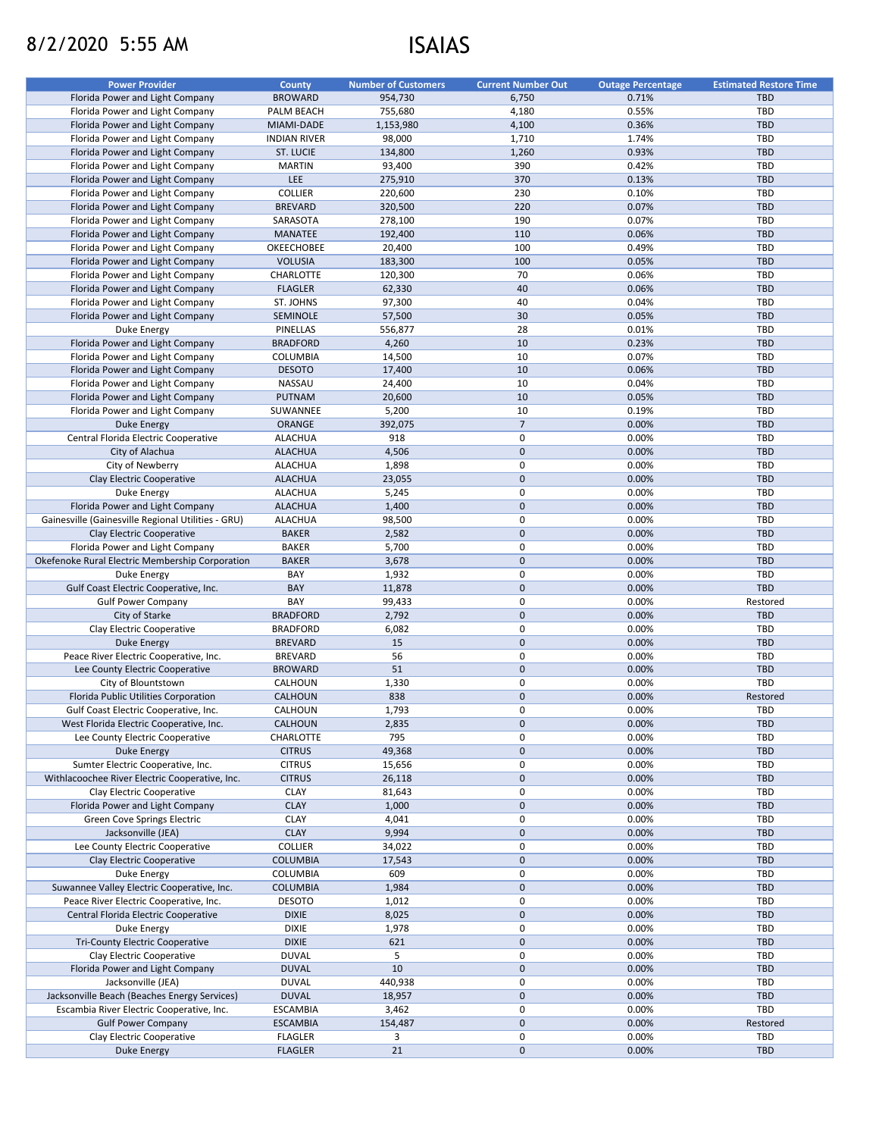# 8/2/2020 5:55 AM ISAIAS

| <b>Power Provider</b>                              | <b>County</b>       | <b>Number of Customers</b> | <b>Current Number Out</b> | <b>Outage Percentage</b> | <b>Estimated Restore Time</b> |
|----------------------------------------------------|---------------------|----------------------------|---------------------------|--------------------------|-------------------------------|
| Florida Power and Light Company                    | <b>BROWARD</b>      | 954,730                    | 6,750                     | 0.71%                    | <b>TBD</b>                    |
| Florida Power and Light Company                    | PALM BEACH          | 755,680                    | 4,180                     | 0.55%                    | TBD                           |
| Florida Power and Light Company                    | MIAMI-DADE          | 1,153,980                  | 4,100                     | 0.36%                    | <b>TBD</b>                    |
| Florida Power and Light Company                    | <b>INDIAN RIVER</b> | 98,000                     | 1,710                     | 1.74%                    | <b>TBD</b>                    |
| Florida Power and Light Company                    | <b>ST. LUCIE</b>    | 134,800                    | 1,260                     | 0.93%                    | <b>TBD</b>                    |
| Florida Power and Light Company                    | <b>MARTIN</b>       | 93,400                     | 390                       | 0.42%                    | <b>TBD</b>                    |
|                                                    |                     |                            |                           |                          |                               |
| Florida Power and Light Company                    | <b>LEE</b>          | 275,910                    | 370                       | 0.13%                    | <b>TBD</b>                    |
| Florida Power and Light Company                    | <b>COLLIER</b>      | 220,600                    | 230                       | 0.10%                    | <b>TBD</b>                    |
| Florida Power and Light Company                    | <b>BREVARD</b>      | 320,500                    | 220                       | 0.07%                    | <b>TBD</b>                    |
| Florida Power and Light Company                    | SARASOTA            | 278,100                    | 190                       | 0.07%                    | TBD                           |
| Florida Power and Light Company                    | <b>MANATEE</b>      | 192,400                    | 110                       | 0.06%                    | <b>TBD</b>                    |
| Florida Power and Light Company                    | <b>OKEECHOBEE</b>   | 20,400                     | 100                       | 0.49%                    | <b>TBD</b>                    |
| Florida Power and Light Company                    | <b>VOLUSIA</b>      | 183,300                    | 100                       | 0.05%                    | <b>TBD</b>                    |
| Florida Power and Light Company                    | <b>CHARLOTTE</b>    | 120,300                    | 70                        | 0.06%                    | <b>TBD</b>                    |
| Florida Power and Light Company                    | <b>FLAGLER</b>      | 62,330                     | 40                        | 0.06%                    | <b>TBD</b>                    |
| Florida Power and Light Company                    | ST. JOHNS           | 97,300                     | 40                        | 0.04%                    | TBD                           |
| Florida Power and Light Company                    | SEMINOLE            | 57,500                     | 30                        | 0.05%                    | <b>TBD</b>                    |
| Duke Energy                                        | PINELLAS            | 556,877                    | 28                        | 0.01%                    | <b>TBD</b>                    |
| Florida Power and Light Company                    | <b>BRADFORD</b>     | 4,260                      | 10                        | 0.23%                    | <b>TBD</b>                    |
| Florida Power and Light Company                    | <b>COLUMBIA</b>     | 14,500                     | 10                        | 0.07%                    | <b>TBD</b>                    |
|                                                    |                     |                            |                           |                          |                               |
| Florida Power and Light Company                    | <b>DESOTO</b>       | 17,400                     | 10                        | 0.06%                    | <b>TBD</b>                    |
| Florida Power and Light Company                    | NASSAU              | 24,400                     | 10                        | 0.04%                    | <b>TBD</b>                    |
| Florida Power and Light Company                    | <b>PUTNAM</b>       | 20,600                     | 10                        | 0.05%                    | <b>TBD</b>                    |
| Florida Power and Light Company                    | SUWANNEE            | 5,200                      | 10                        | 0.19%                    | TBD                           |
| Duke Energy                                        | ORANGE              | 392,075                    | $\overline{7}$            | 0.00%                    | <b>TBD</b>                    |
| Central Florida Electric Cooperative               | <b>ALACHUA</b>      | 918                        | 0                         | 0.00%                    | <b>TBD</b>                    |
| City of Alachua                                    | <b>ALACHUA</b>      | 4,506                      | $\mathbf 0$               | 0.00%                    | <b>TBD</b>                    |
| City of Newberry                                   | <b>ALACHUA</b>      | 1,898                      | 0                         | 0.00%                    | <b>TBD</b>                    |
| Clay Electric Cooperative                          | <b>ALACHUA</b>      | 23,055                     | $\mathbf 0$               | 0.00%                    | <b>TBD</b>                    |
| Duke Energy                                        | <b>ALACHUA</b>      | 5,245                      | 0                         | 0.00%                    | <b>TBD</b>                    |
| Florida Power and Light Company                    | <b>ALACHUA</b>      | 1,400                      | $\pmb{0}$                 | 0.00%                    | <b>TBD</b>                    |
|                                                    |                     |                            |                           |                          |                               |
| Gainesville (Gainesville Regional Utilities - GRU) | <b>ALACHUA</b>      | 98,500                     | 0                         | 0.00%                    | <b>TBD</b>                    |
| Clay Electric Cooperative                          | <b>BAKER</b>        | 2,582                      | $\mathbf 0$               | 0.00%                    | <b>TBD</b>                    |
| Florida Power and Light Company                    | <b>BAKER</b>        | 5,700                      | 0                         | 0.00%                    | TBD                           |
| Okefenoke Rural Electric Membership Corporation    | <b>BAKER</b>        | 3,678                      | $\mathbf 0$               | 0.00%                    | <b>TBD</b>                    |
| Duke Energy                                        | BAY                 | 1,932                      | 0                         | 0.00%                    | <b>TBD</b>                    |
| Gulf Coast Electric Cooperative, Inc.              | <b>BAY</b>          | 11,878                     | 0                         | 0.00%                    | <b>TBD</b>                    |
| <b>Gulf Power Company</b>                          | BAY                 | 99,433                     | 0                         | 0.00%                    | Restored                      |
| City of Starke                                     | <b>BRADFORD</b>     | 2,792                      | $\mathbf 0$               | 0.00%                    | <b>TBD</b>                    |
| Clay Electric Cooperative                          | <b>BRADFORD</b>     | 6,082                      | 0                         | 0.00%                    | <b>TBD</b>                    |
| Duke Energy                                        | <b>BREVARD</b>      | 15                         | $\mathbf 0$               | 0.00%                    | <b>TBD</b>                    |
| Peace River Electric Cooperative, Inc.             | <b>BREVARD</b>      | 56                         | 0                         | 0.00%                    | TBD                           |
| Lee County Electric Cooperative                    | <b>BROWARD</b>      | 51                         | 0                         | 0.00%                    | <b>TBD</b>                    |
| City of Blountstown                                | CALHOUN             | 1,330                      | 0                         | 0.00%                    | TBD                           |
|                                                    |                     |                            |                           |                          |                               |
| Florida Public Utilities Corporation               | <b>CALHOUN</b>      | 838                        | $\mathbf 0$               | 0.00%                    | Restored                      |
| Gulf Coast Electric Cooperative, Inc.              | <b>CALHOUN</b>      | 1,793                      | 0                         | 0.00%                    | <b>TBD</b>                    |
| West Florida Electric Cooperative, Inc.            | <b>CALHOUN</b>      | 2,835                      | $\mathbf 0$               | 0.00%                    | <b>TBD</b>                    |
| Lee County Electric Cooperative                    | <b>CHARLOTTE</b>    | 795                        | 0                         | 0.00%                    | TBD                           |
| Duke Energy                                        | <b>CITRUS</b>       | 49,368                     | $\mathbf 0$               | 0.00%                    | <b>TBD</b>                    |
| Sumter Electric Cooperative, Inc.                  | <b>CITRUS</b>       | 15,656                     | 0                         | 0.00%                    | <b>TBD</b>                    |
| Withlacoochee River Electric Cooperative, Inc.     | <b>CITRUS</b>       | 26,118                     | 0                         | 0.00%                    | <b>TBD</b>                    |
| Clay Electric Cooperative                          | <b>CLAY</b>         | 81,643                     | 0                         | 0.00%                    | TBD                           |
| Florida Power and Light Company                    | <b>CLAY</b>         | 1,000                      | $\mathbf 0$               | 0.00%                    | <b>TBD</b>                    |
| <b>Green Cove Springs Electric</b>                 | <b>CLAY</b>         | 4,041                      | 0                         | 0.00%                    | TBD                           |
| Jacksonville (JEA)                                 | <b>CLAY</b>         | 9,994                      | $\mathbf 0$               | 0.00%                    | <b>TBD</b>                    |
| Lee County Electric Cooperative                    | <b>COLLIER</b>      | 34,022                     | 0                         | 0.00%                    | TBD                           |
|                                                    |                     |                            |                           |                          |                               |
| <b>Clay Electric Cooperative</b>                   | <b>COLUMBIA</b>     | 17,543                     | 0                         | 0.00%                    | <b>TBD</b>                    |
| Duke Energy                                        | <b>COLUMBIA</b>     | 609                        | 0                         | 0.00%                    | TBD                           |
| Suwannee Valley Electric Cooperative, Inc.         | <b>COLUMBIA</b>     | 1,984                      | $\mathbf 0$               | 0.00%                    | <b>TBD</b>                    |
| Peace River Electric Cooperative, Inc.             | <b>DESOTO</b>       | 1,012                      | 0                         | 0.00%                    | <b>TBD</b>                    |
| Central Florida Electric Cooperative               | <b>DIXIE</b>        | 8,025                      | $\mathbf 0$               | 0.00%                    | <b>TBD</b>                    |
| Duke Energy                                        | <b>DIXIE</b>        | 1,978                      | 0                         | 0.00%                    | <b>TBD</b>                    |
| <b>Tri-County Electric Cooperative</b>             | <b>DIXIE</b>        | 621                        | 0                         | 0.00%                    | TBD.                          |
| Clay Electric Cooperative                          | <b>DUVAL</b>        | 5                          | $\mathbf{0}$              | 0.00%                    | TBD                           |
| Florida Power and Light Company                    | <b>DUVAL</b>        | 10                         | $\mathbf 0$               | 0.00%                    | <b>TBD</b>                    |
| Jacksonville (JEA)                                 | <b>DUVAL</b>        | 440,938                    | 0                         | 0.00%                    | TBD                           |
| Jacksonville Beach (Beaches Energy Services)       | <b>DUVAL</b>        | 18,957                     | $\mathbf 0$               | 0.00%                    | <b>TBD</b>                    |
|                                                    |                     |                            |                           |                          |                               |
| Escambia River Electric Cooperative, Inc.          | <b>ESCAMBIA</b>     | 3,462                      | 0                         | 0.00%                    | TBD                           |
| <b>Gulf Power Company</b>                          | <b>ESCAMBIA</b>     | 154,487                    | $\mathbf 0$               | 0.00%                    | Restored                      |
| Clay Electric Cooperative                          | <b>FLAGLER</b>      | 3                          | 0                         | 0.00%                    | <b>TBD</b>                    |
| Duke Energy                                        | <b>FLAGLER</b>      | 21                         | $\mathbf 0$               | 0.00%                    | <b>TBD</b>                    |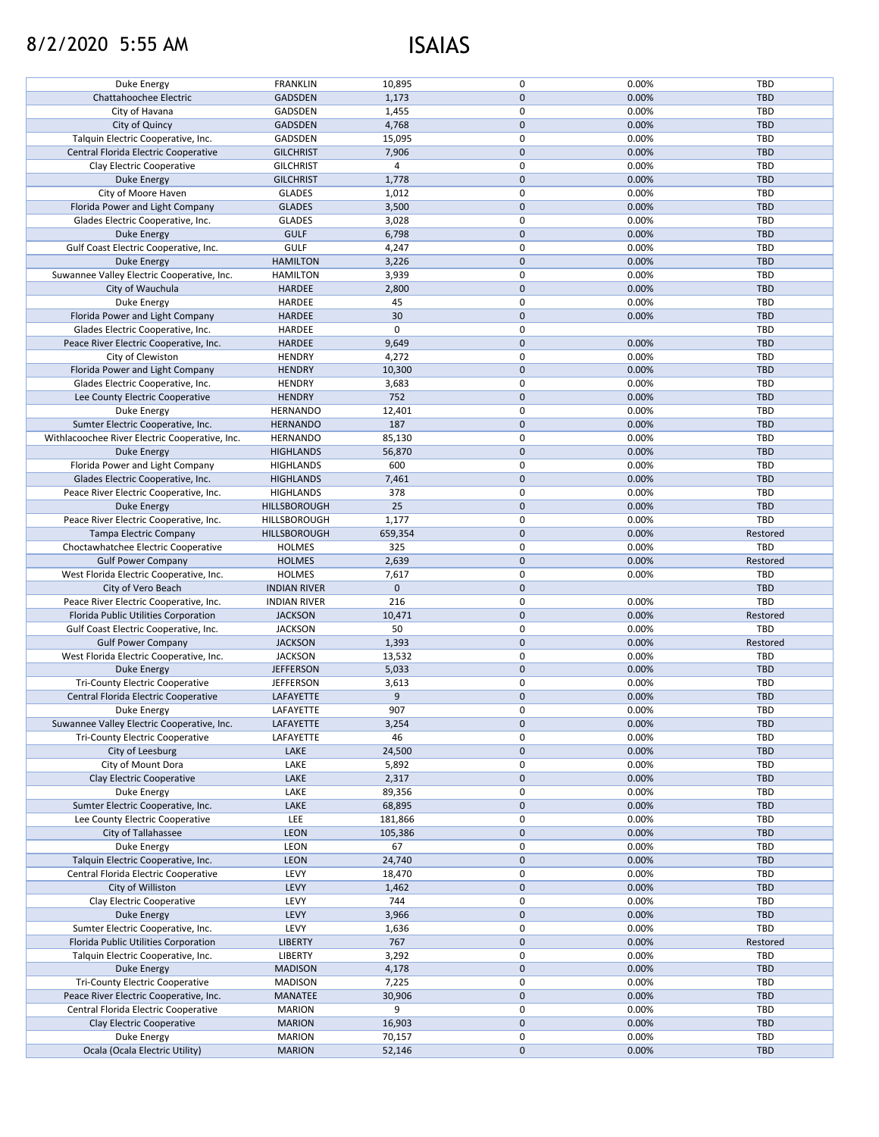# 8/2/2020 5:55 AM ISAIAS

| Duke Energy                                    | <b>FRANKLIN</b>                | 10,895           | $\mathbf{0}$   | 0.00%          | <b>TBD</b>               |
|------------------------------------------------|--------------------------------|------------------|----------------|----------------|--------------------------|
| Chattahoochee Electric                         |                                |                  |                |                |                          |
|                                                | <b>GADSDEN</b>                 | 1,173            | 0              | 0.00%          | <b>TBD</b>               |
| City of Havana                                 | <b>GADSDEN</b>                 | 1,455            | 0              | 0.00%          | TBD                      |
| City of Quincy                                 | <b>GADSDEN</b>                 | 4,768            | $\mathbf 0$    | 0.00%          | <b>TBD</b>               |
| Talquin Electric Cooperative, Inc.             | <b>GADSDEN</b>                 | 15,095           | 0              | 0.00%          | <b>TBD</b>               |
|                                                |                                |                  |                |                |                          |
| Central Florida Electric Cooperative           | <b>GILCHRIST</b>               | 7,906            | $\mathbf 0$    | 0.00%          | <b>TBD</b>               |
| Clay Electric Cooperative                      | <b>GILCHRIST</b>               | 4                | 0              | 0.00%          | <b>TBD</b>               |
| <b>Duke Energy</b>                             | <b>GILCHRIST</b>               | 1,778            | 0              | 0.00%          | <b>TBD</b>               |
|                                                |                                |                  |                |                |                          |
| City of Moore Haven                            | <b>GLADES</b>                  | 1,012            | 0              | 0.00%          | <b>TBD</b>               |
| Florida Power and Light Company                | <b>GLADES</b>                  | 3,500            | $\mathbf{0}$   | 0.00%          | <b>TBD</b>               |
| Glades Electric Cooperative, Inc.              | <b>GLADES</b>                  | 3,028            | 0              | 0.00%          | <b>TBD</b>               |
| <b>Duke Energy</b>                             | <b>GULF</b>                    | 6,798            | $\mathbf 0$    | 0.00%          | <b>TBD</b>               |
|                                                |                                |                  |                |                |                          |
| Gulf Coast Electric Cooperative, Inc.          | <b>GULF</b>                    | 4,247            | 0              | 0.00%          | <b>TBD</b>               |
| Duke Energy                                    | <b>HAMILTON</b>                | 3,226            | $\mathbf 0$    | 0.00%          | <b>TBD</b>               |
| Suwannee Valley Electric Cooperative, Inc.     | <b>HAMILTON</b>                | 3,939            | 0              | 0.00%          | <b>TBD</b>               |
|                                                |                                |                  |                |                |                          |
| City of Wauchula                               | <b>HARDEE</b>                  | 2,800            | 0              | 0.00%          | <b>TBD</b>               |
| Duke Energy                                    | HARDEE                         | 45               | 0              | 0.00%          | <b>TBD</b>               |
| Florida Power and Light Company                | <b>HARDEE</b>                  | 30               | $\mathbf 0$    | 0.00%          | <b>TBD</b>               |
|                                                |                                |                  |                |                |                          |
| Glades Electric Cooperative, Inc.              | <b>HARDEE</b>                  | 0                | 0              |                | <b>TBD</b>               |
| Peace River Electric Cooperative, Inc.         | <b>HARDEE</b>                  | 9,649            | $\mathbf 0$    | 0.00%          | <b>TBD</b>               |
| City of Clewiston                              | <b>HENDRY</b>                  | 4,272            | 0              | 0.00%          | <b>TBD</b>               |
|                                                |                                |                  |                |                |                          |
| Florida Power and Light Company                | <b>HENDRY</b>                  | 10,300           | 0              | 0.00%          | <b>TBD</b>               |
| Glades Electric Cooperative, Inc.              | <b>HENDRY</b>                  | 3,683            | 0              | 0.00%          | <b>TBD</b>               |
| Lee County Electric Cooperative                | <b>HENDRY</b>                  | 752              | $\mathbf{0}$   | 0.00%          | <b>TBD</b>               |
|                                                |                                |                  |                |                |                          |
| <b>Duke Energy</b>                             | <b>HERNANDO</b>                | 12,401           | 0              | 0.00%          | <b>TBD</b>               |
| Sumter Electric Cooperative, Inc.              | <b>HERNANDO</b>                | 187              | $\mathbf 0$    | 0.00%          | <b>TBD</b>               |
| Withlacoochee River Electric Cooperative, Inc. | <b>HERNANDO</b>                | 85,130           | 0              | 0.00%          | <b>TBD</b>               |
|                                                |                                |                  |                |                |                          |
| Duke Energy                                    | <b>HIGHLANDS</b>               | 56,870           | $\mathbf 0$    | 0.00%          | <b>TBD</b>               |
| Florida Power and Light Company                | <b>HIGHLANDS</b>               | 600              | 0              | 0.00%          | <b>TBD</b>               |
| Glades Electric Cooperative, Inc.              | <b>HIGHLANDS</b>               | 7,461            | 0              | 0.00%          | <b>TBD</b>               |
|                                                |                                |                  |                |                |                          |
| Peace River Electric Cooperative, Inc.         | <b>HIGHLANDS</b>               | 378              | 0              | 0.00%          | <b>TBD</b>               |
| Duke Energy                                    | HILLSBOROUGH                   | 25               | $\mathbf 0$    | 0.00%          | <b>TBD</b>               |
|                                                | HILLSBOROUGH                   | 1,177            | 0              | 0.00%          | <b>TBD</b>               |
| Peace River Electric Cooperative, Inc.         |                                |                  |                |                |                          |
| Tampa Electric Company                         | HILLSBOROUGH                   | 659,354          | $\mathbf{0}$   | 0.00%          | Restored                 |
| Choctawhatchee Electric Cooperative            | <b>HOLMES</b>                  | 325              | 0              | 0.00%          | <b>TBD</b>               |
| <b>Gulf Power Company</b>                      | <b>HOLMES</b>                  | 2,639            | $\mathbf{0}$   | 0.00%          | Restored                 |
|                                                |                                |                  |                |                |                          |
| West Florida Electric Cooperative, Inc.        | <b>HOLMES</b>                  | 7,617            | 0              | 0.00%          | <b>TBD</b>               |
| City of Vero Beach                             | <b>INDIAN RIVER</b>            | $\mathbf{0}$     | $\mathbf{0}$   |                | <b>TBD</b>               |
|                                                |                                |                  |                |                |                          |
| Peace River Electric Cooperative, Inc.         | <b>INDIAN RIVER</b>            | 216              | 0              | 0.00%          | <b>TBD</b>               |
| Florida Public Utilities Corporation           | <b>JACKSON</b>                 | 10,471           | 0              | 0.00%          | Restored                 |
| Gulf Coast Electric Cooperative, Inc.          | <b>JACKSON</b>                 | 50               | 0              | 0.00%          | <b>TBD</b>               |
|                                                |                                |                  |                |                |                          |
| <b>Gulf Power Company</b>                      | <b>JACKSON</b>                 | 1,393            | $\mathbf 0$    | 0.00%          | Restored                 |
| West Florida Electric Cooperative, Inc.        | <b>JACKSON</b>                 | 13,532           | 0              | 0.00%          | <b>TBD</b>               |
| Duke Energy                                    | <b>JEFFERSON</b>               | 5,033            | 0              | 0.00%          | <b>TBD</b>               |
|                                                |                                |                  |                |                |                          |
| <b>Tri-County Electric Cooperative</b>         |                                |                  |                |                |                          |
| Central Florida Electric Cooperative           | <b>JEFFERSON</b>               | 3,613            | 0              | 0.00%          | <b>TBD</b>               |
|                                                | LAFAYETTE                      | 9                | $\mathbf 0$    | 0.00%          | <b>TBD</b>               |
|                                                |                                |                  |                |                |                          |
| Duke Energy                                    | LAFAYETTE                      | 907              | 0              | 0.00%          | <b>TBD</b>               |
| Suwannee Valley Electric Cooperative, Inc.     | LAFAYETTE                      | 3,254            | $\mathbf 0$    | 0.00%          | <b>TBD</b>               |
| <b>Tri-County Electric Cooperative</b>         | LAFAYETTE                      | 46               | 0              | 0.00%          | <b>TBD</b>               |
|                                                |                                |                  |                |                |                          |
| City of Leesburg                               | LAKE                           | 24,500           | 0              | 0.00%          | <b>TBD</b>               |
| City of Mount Dora                             | LAKE                           | 5,892            | 0              | 0.00%          | <b>TBD</b>               |
| Clay Electric Cooperative                      | LAKE                           | 2,317            | $\mathbf{0}$   | 0.00%          | <b>TBD</b>               |
|                                                |                                |                  | 0              |                |                          |
| Duke Energy                                    | LAKE                           | 89,356           |                | 0.00%          | <b>TBD</b>               |
| Sumter Electric Cooperative, Inc.              | LAKE                           | 68,895           | $\mathbf 0$    | 0.00%          | <b>TBD</b>               |
| Lee County Electric Cooperative                | <b>LEE</b>                     | 181,866          | 0              | 0.00%          | <b>TBD</b>               |
|                                                |                                |                  | $\mathbf{0}$   |                |                          |
| City of Tallahassee                            | <b>LEON</b>                    | 105,386          |                | 0.00%          | <b>TBD</b>               |
| Duke Energy                                    | <b>LEON</b>                    | 67               | 0              | 0.00%          | <b>TBD</b>               |
| Talquin Electric Cooperative, Inc.             | LEON                           | 24,740           | 0              | 0.00%          | <b>TBD</b>               |
|                                                |                                |                  | 0              |                |                          |
| Central Florida Electric Cooperative           | <b>LEVY</b>                    | 18,470           |                | 0.00%          | <b>TBD</b>               |
| City of Williston                              | <b>LEVY</b>                    | 1,462            | $\mathbf 0$    | 0.00%          | <b>TBD</b>               |
| Clay Electric Cooperative                      | LEVY                           | 744              | 0              | 0.00%          | <b>TBD</b>               |
|                                                |                                |                  |                |                |                          |
| Duke Energy                                    | <b>LEVY</b>                    | 3,966            | $\mathbf 0$    | 0.00%          | <b>TBD</b>               |
| Sumter Electric Cooperative, Inc.              | LEVY                           | 1,636            | 0              | 0.00%          | <b>TBD</b>               |
| Florida Public Utilities Corporation           | <b>LIBERTY</b>                 | 767              | $\mathbf{0}$   | 0.00%          | Restored                 |
|                                                |                                |                  |                |                |                          |
| Talquin Electric Cooperative, Inc.             | <b>LIBERTY</b>                 | 3,292            | 0              | 0.00%          | <b>TBD</b>               |
| Duke Energy                                    | <b>MADISON</b>                 | 4,178            | $\mathbf 0$    | 0.00%          | <b>TBD</b>               |
| <b>Tri-County Electric Cooperative</b>         | <b>MADISON</b>                 | 7,225            | 0              | 0.00%          | TBD                      |
|                                                |                                |                  |                |                |                          |
| Peace River Electric Cooperative, Inc.         | <b>MANATEE</b>                 | 30,906           | $\pmb{0}$      | 0.00%          | <b>TBD</b>               |
| Central Florida Electric Cooperative           | <b>MARION</b>                  | 9                | $\mathbf 0$    | 0.00%          | TBD                      |
| Clay Electric Cooperative                      | <b>MARION</b>                  | 16,903           | $\mathbf 0$    | 0.00%          | TBD                      |
|                                                |                                |                  |                |                |                          |
| Duke Energy<br>Ocala (Ocala Electric Utility)  | <b>MARION</b><br><b>MARION</b> | 70,157<br>52,146 | 0<br>$\pmb{0}$ | 0.00%<br>0.00% | <b>TBD</b><br><b>TBD</b> |